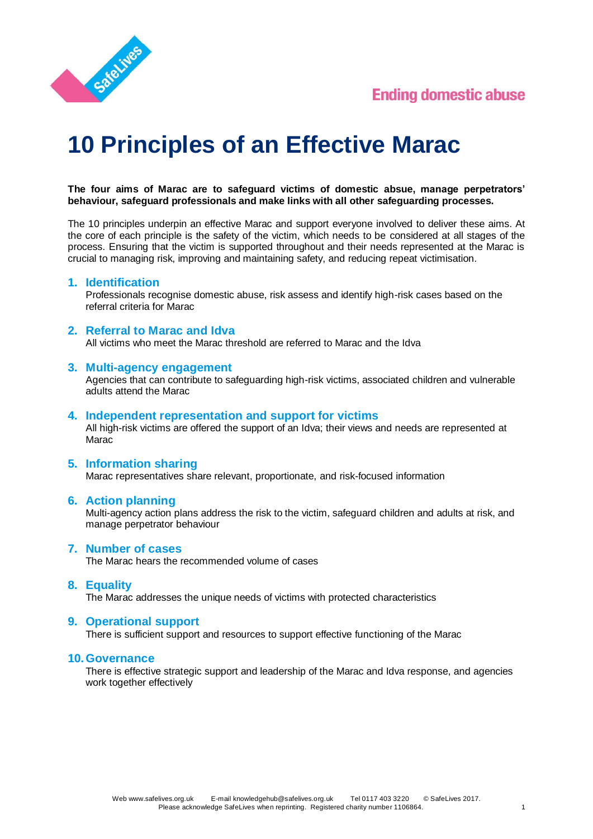



# **10 Principles of an Effective Marac**

**The four aims of Marac are to safeguard victims of domestic absue, manage perpetrators' behaviour, safeguard professionals and make links with all other safeguarding processes.**

The 10 principles underpin an effective Marac and support everyone involved to deliver these aims. At the core of each principle is the safety of the victim, which needs to be considered at all stages of the process. Ensuring that the victim is supported throughout and their needs represented at the Marac is crucial to managing risk, improving and maintaining safety, and reducing repeat victimisation.

#### **1. Identification**

Professionals recognise domestic abuse, risk assess and identify high-risk cases based on the referral criteria for Marac

#### **2. Referral to Marac and Idva**

All victims who meet the Marac threshold are referred to Marac and the Idva

#### **3. Multi-agency engagement**

Agencies that can contribute to safeguarding high-risk victims, associated children and vulnerable adults attend the Marac

#### **4. Independent representation and support for victims**

All high-risk victims are offered the support of an Idva; their views and needs are represented at Marac

#### **5. Information sharing**

Marac representatives share relevant, proportionate, and risk-focused information

#### **6. Action planning**

Multi-agency action plans address the risk to the victim, safeguard children and adults at risk, and manage perpetrator behaviour

#### **7. Number of cases**

The Marac hears the recommended volume of cases

#### **8. Equality**

The Marac addresses the unique needs of victims with protected characteristics

#### **9. Operational support**

There is sufficient support and resources to support effective functioning of the Marac

#### **10.Governance**

There is effective strategic support and leadership of the Marac and Idva response, and agencies work together effectively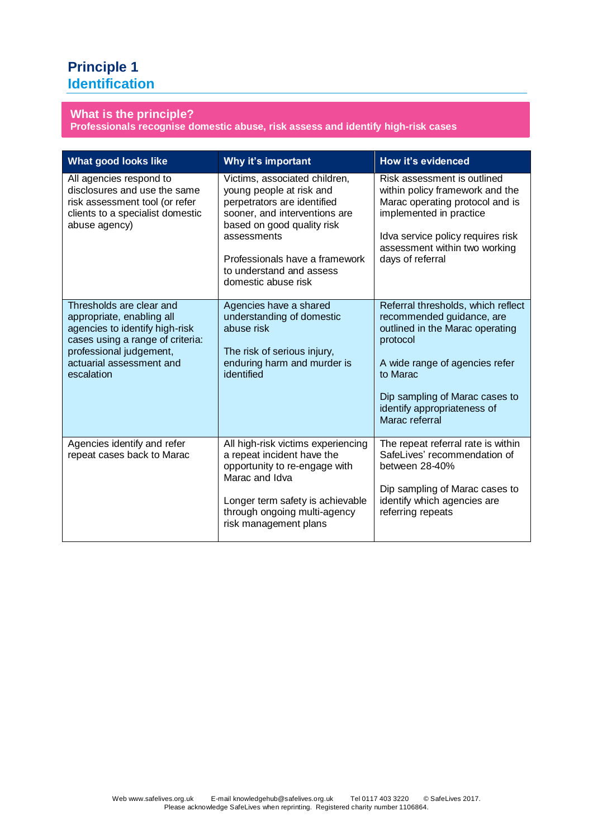## **Principle 1 Identification**

#### **What is the principle?**

**Professionals recognise domestic abuse, risk assess and identify high-risk cases**

| What good looks like                                                                                                                                                                             | Why it's important                                                                                                                                                                                                                                          | How it's evidenced                                                                                                                                                                                                                              |
|--------------------------------------------------------------------------------------------------------------------------------------------------------------------------------------------------|-------------------------------------------------------------------------------------------------------------------------------------------------------------------------------------------------------------------------------------------------------------|-------------------------------------------------------------------------------------------------------------------------------------------------------------------------------------------------------------------------------------------------|
| All agencies respond to<br>disclosures and use the same<br>risk assessment tool (or refer<br>clients to a specialist domestic<br>abuse agency)                                                   | Victims, associated children,<br>young people at risk and<br>perpetrators are identified<br>sooner, and interventions are<br>based on good quality risk<br>assessments<br>Professionals have a framework<br>to understand and assess<br>domestic abuse risk | Risk assessment is outlined<br>within policy framework and the<br>Marac operating protocol and is<br>implemented in practice<br>Idva service policy requires risk<br>assessment within two working<br>days of referral                          |
| Thresholds are clear and<br>appropriate, enabling all<br>agencies to identify high-risk<br>cases using a range of criteria:<br>professional judgement,<br>actuarial assessment and<br>escalation | Agencies have a shared<br>understanding of domestic<br>abuse risk<br>The risk of serious injury,<br>enduring harm and murder is<br>identified                                                                                                               | Referral thresholds, which reflect<br>recommended guidance, are<br>outlined in the Marac operating<br>protocol<br>A wide range of agencies refer<br>to Marac<br>Dip sampling of Marac cases to<br>identify appropriateness of<br>Marac referral |
| Agencies identify and refer<br>repeat cases back to Marac                                                                                                                                        | All high-risk victims experiencing<br>a repeat incident have the<br>opportunity to re-engage with<br>Marac and Idva<br>Longer term safety is achievable<br>through ongoing multi-agency<br>risk management plans                                            | The repeat referral rate is within<br>SafeLives' recommendation of<br>between 28-40%<br>Dip sampling of Marac cases to<br>identify which agencies are<br>referring repeats                                                                      |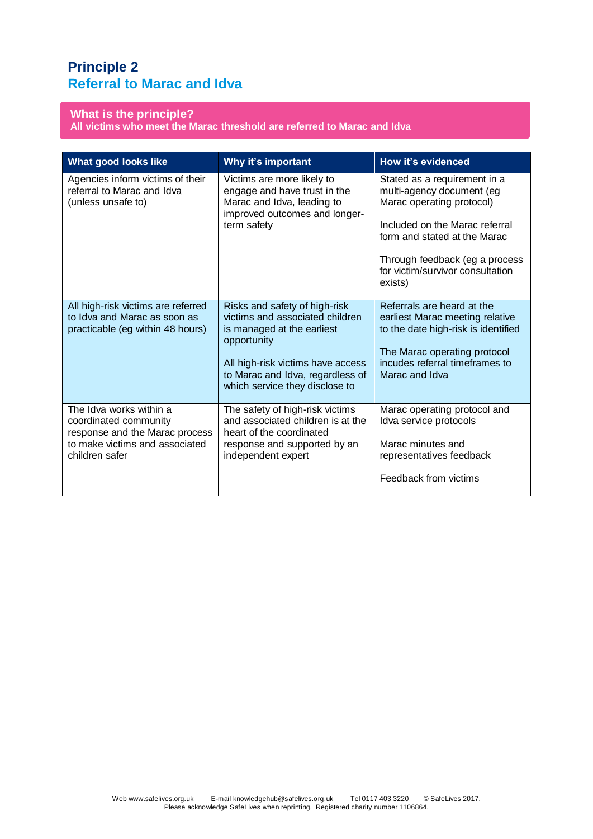## **Principle 2 Referral to Marac and Idva**

**What is the principle? All victims who meet the Marac threshold are referred to Marac and Idva**

| What good looks like                                                                                                                   | Why it's important                                                                                                                                                                                                       | How it's evidenced                                                                                                                                                                       |
|----------------------------------------------------------------------------------------------------------------------------------------|--------------------------------------------------------------------------------------------------------------------------------------------------------------------------------------------------------------------------|------------------------------------------------------------------------------------------------------------------------------------------------------------------------------------------|
| Agencies inform victims of their<br>referral to Marac and Idva<br>(unless unsafe to)                                                   | Victims are more likely to<br>engage and have trust in the<br>Marac and Idva, leading to<br>improved outcomes and longer-<br>term safety                                                                                 | Stated as a requirement in a<br>multi-agency document (eg<br>Marac operating protocol)                                                                                                   |
|                                                                                                                                        |                                                                                                                                                                                                                          | Included on the Marac referral<br>form and stated at the Marac                                                                                                                           |
|                                                                                                                                        |                                                                                                                                                                                                                          | Through feedback (eg a process<br>for victim/survivor consultation<br>exists)                                                                                                            |
| All high-risk victims are referred<br>to Idva and Marac as soon as<br>practicable (eg within 48 hours)                                 | Risks and safety of high-risk<br>victims and associated children<br>is managed at the earliest<br>opportunity<br>All high-risk victims have access<br>to Marac and Idva, regardless of<br>which service they disclose to | Referrals are heard at the<br>earliest Marac meeting relative<br>to the date high-risk is identified<br>The Marac operating protocol<br>incudes referral timeframes to<br>Marac and Idva |
| The Idva works within a<br>coordinated community<br>response and the Marac process<br>to make victims and associated<br>children safer | The safety of high-risk victims<br>and associated children is at the<br>heart of the coordinated<br>response and supported by an<br>independent expert                                                                   | Marac operating protocol and<br>Idva service protocols<br>Marac minutes and<br>representatives feedback<br>Feedback from victims                                                         |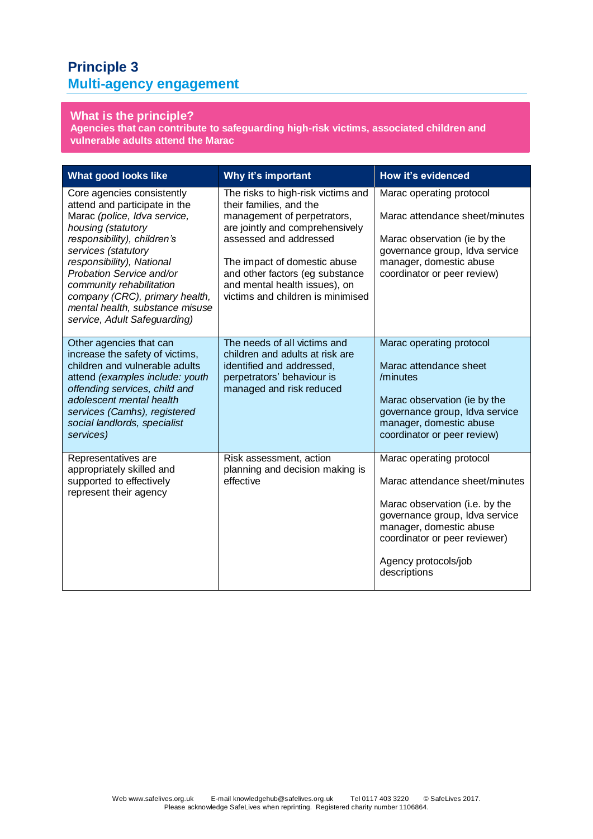## **Principle 3 Multi-agency engagement**

## **What is the principle?**

**Agencies that can contribute to safeguarding high-risk victims, associated children and vulnerable adults attend the Marac**

| <b>What good looks like</b>                                                                                                                                                                                                                                                                                                                                       | Why it's important                                                                                                                                                                                                                                                                                 | How it's evidenced                                                                                                                                                                                                                 |
|-------------------------------------------------------------------------------------------------------------------------------------------------------------------------------------------------------------------------------------------------------------------------------------------------------------------------------------------------------------------|----------------------------------------------------------------------------------------------------------------------------------------------------------------------------------------------------------------------------------------------------------------------------------------------------|------------------------------------------------------------------------------------------------------------------------------------------------------------------------------------------------------------------------------------|
| Core agencies consistently<br>attend and participate in the<br>Marac (police, Idva service,<br>housing (statutory<br>responsibility), children's<br>services (statutory<br>responsibility), National<br>Probation Service and/or<br>community rehabilitation<br>company (CRC), primary health,<br>mental health, substance misuse<br>service, Adult Safeguarding) | The risks to high-risk victims and<br>their families, and the<br>management of perpetrators,<br>are jointly and comprehensively<br>assessed and addressed<br>The impact of domestic abuse<br>and other factors (eg substance<br>and mental health issues), on<br>victims and children is minimised | Marac operating protocol<br>Marac attendance sheet/minutes<br>Marac observation (ie by the<br>governance group, Idva service<br>manager, domestic abuse<br>coordinator or peer review)                                             |
| Other agencies that can<br>increase the safety of victims,<br>children and vulnerable adults<br>attend (examples include: youth<br>offending services, child and<br>adolescent mental health<br>services (Camhs), registered<br>social landlords, specialist<br>services)                                                                                         | The needs of all victims and<br>children and adults at risk are<br>identified and addressed,<br>perpetrators' behaviour is<br>managed and risk reduced                                                                                                                                             | Marac operating protocol<br>Marac attendance sheet<br>/minutes<br>Marac observation (ie by the<br>governance group, Idva service<br>manager, domestic abuse<br>coordinator or peer review)                                         |
| Representatives are<br>appropriately skilled and<br>supported to effectively<br>represent their agency                                                                                                                                                                                                                                                            | Risk assessment, action<br>planning and decision making is<br>effective                                                                                                                                                                                                                            | Marac operating protocol<br>Marac attendance sheet/minutes<br>Marac observation (i.e. by the<br>governance group, Idva service<br>manager, domestic abuse<br>coordinator or peer reviewer)<br>Agency protocols/job<br>descriptions |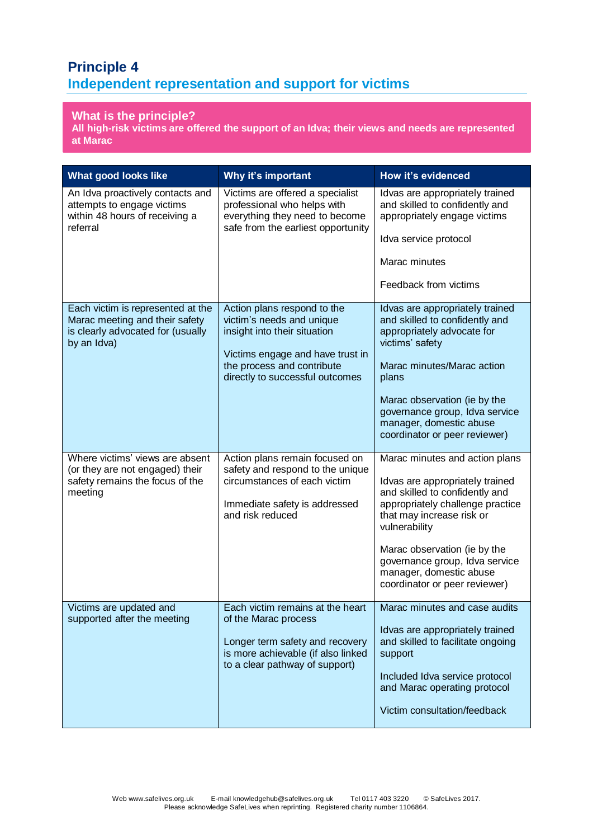## **Principle 4 Independent representation and support for victims**

## **What is the principle?**

**All high-risk victims are offered the support of an Idva; their views and needs are represented at Marac**

| What good looks like                                                                                                    | Why it's important                                                                                                                                                                            | How it's evidenced                                                                                                                                                                                                                                                                                                  |
|-------------------------------------------------------------------------------------------------------------------------|-----------------------------------------------------------------------------------------------------------------------------------------------------------------------------------------------|---------------------------------------------------------------------------------------------------------------------------------------------------------------------------------------------------------------------------------------------------------------------------------------------------------------------|
| An Idva proactively contacts and<br>attempts to engage victims<br>within 48 hours of receiving a<br>referral            | Victims are offered a specialist<br>professional who helps with<br>everything they need to become<br>safe from the earliest opportunity                                                       | Idvas are appropriately trained<br>and skilled to confidently and<br>appropriately engage victims<br>Idva service protocol<br>Marac minutes                                                                                                                                                                         |
|                                                                                                                         |                                                                                                                                                                                               | Feedback from victims                                                                                                                                                                                                                                                                                               |
| Each victim is represented at the<br>Marac meeting and their safety<br>is clearly advocated for (usually<br>by an Idva) | Action plans respond to the<br>victim's needs and unique<br>insight into their situation<br>Victims engage and have trust in<br>the process and contribute<br>directly to successful outcomes | Idvas are appropriately trained<br>and skilled to confidently and<br>appropriately advocate for<br>victims' safety<br>Marac minutes/Marac action<br>plans<br>Marac observation (ie by the<br>governance group, Idva service<br>manager, domestic abuse<br>coordinator or peer reviewer)                             |
| Where victims' views are absent<br>(or they are not engaged) their<br>safety remains the focus of the<br>meeting        | Action plans remain focused on<br>safety and respond to the unique<br>circumstances of each victim<br>Immediate safety is addressed<br>and risk reduced                                       | Marac minutes and action plans<br>Idvas are appropriately trained<br>and skilled to confidently and<br>appropriately challenge practice<br>that may increase risk or<br>vulnerability<br>Marac observation (ie by the<br>governance group, Idva service<br>manager, domestic abuse<br>coordinator or peer reviewer) |
| Victims are updated and<br>supported after the meeting                                                                  | Each victim remains at the heart<br>of the Marac process<br>Longer term safety and recovery<br>is more achievable (if also linked<br>to a clear pathway of support)                           | Marac minutes and case audits<br>Idvas are appropriately trained<br>and skilled to facilitate ongoing<br>support<br>Included Idva service protocol<br>and Marac operating protocol<br>Victim consultation/feedback                                                                                                  |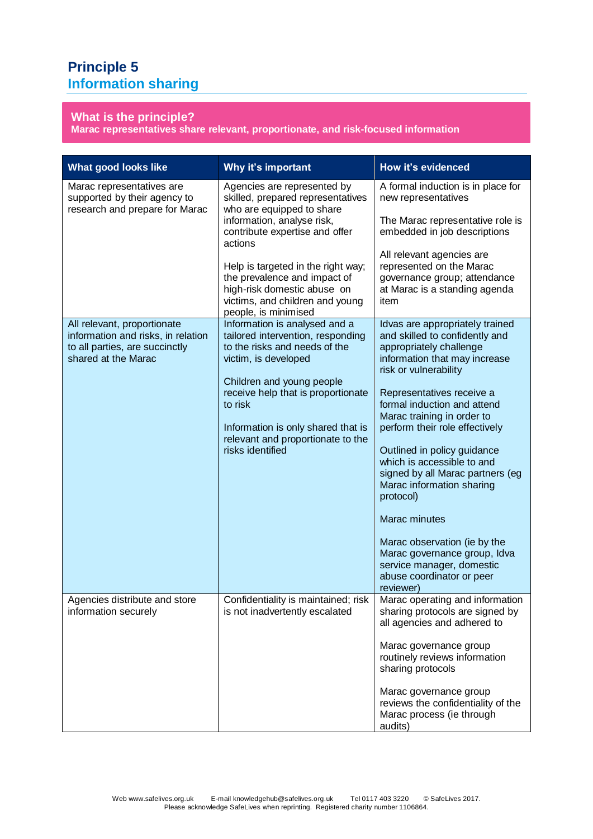## **Principle 5 Information sharing**

## **What is the principle?**

**Marac representatives share relevant, proportionate, and risk-focused information**

| <b>What good looks like</b>                                                                                                | Why it's important                                                                                                                                                                                                                                                                                                                       | How it's evidenced                                                                                                                                                                                                                                                                                                                                                                                                                                                                                                                                                                    |
|----------------------------------------------------------------------------------------------------------------------------|------------------------------------------------------------------------------------------------------------------------------------------------------------------------------------------------------------------------------------------------------------------------------------------------------------------------------------------|---------------------------------------------------------------------------------------------------------------------------------------------------------------------------------------------------------------------------------------------------------------------------------------------------------------------------------------------------------------------------------------------------------------------------------------------------------------------------------------------------------------------------------------------------------------------------------------|
| Marac representatives are<br>supported by their agency to<br>research and prepare for Marac                                | Agencies are represented by<br>skilled, prepared representatives<br>who are equipped to share<br>information, analyse risk,<br>contribute expertise and offer<br>actions<br>Help is targeted in the right way;<br>the prevalence and impact of<br>high-risk domestic abuse on<br>victims, and children and young<br>people, is minimised | A formal induction is in place for<br>new representatives<br>The Marac representative role is<br>embedded in job descriptions<br>All relevant agencies are<br>represented on the Marac<br>governance group; attendance<br>at Marac is a standing agenda<br>item                                                                                                                                                                                                                                                                                                                       |
| All relevant, proportionate<br>information and risks, in relation<br>to all parties, are succinctly<br>shared at the Marac | Information is analysed and a<br>tailored intervention, responding<br>to the risks and needs of the<br>victim, is developed<br>Children and young people<br>receive help that is proportionate<br>to risk<br>Information is only shared that is<br>relevant and proportionate to the<br>risks identified                                 | Idvas are appropriately trained<br>and skilled to confidently and<br>appropriately challenge<br>information that may increase<br>risk or vulnerability<br>Representatives receive a<br>formal induction and attend<br>Marac training in order to<br>perform their role effectively<br>Outlined in policy guidance<br>which is accessible to and<br>signed by all Marac partners (eg<br>Marac information sharing<br>protocol)<br>Marac minutes<br>Marac observation (ie by the<br>Marac governance group, Idva<br>service manager, domestic<br>abuse coordinator or peer<br>reviewer) |
| Agencies distribute and store<br>information securely                                                                      | Confidentiality is maintained; risk<br>is not inadvertently escalated                                                                                                                                                                                                                                                                    | Marac operating and information<br>sharing protocols are signed by<br>all agencies and adhered to<br>Marac governance group<br>routinely reviews information<br>sharing protocols<br>Marac governance group<br>reviews the confidentiality of the<br>Marac process (ie through<br>audits)                                                                                                                                                                                                                                                                                             |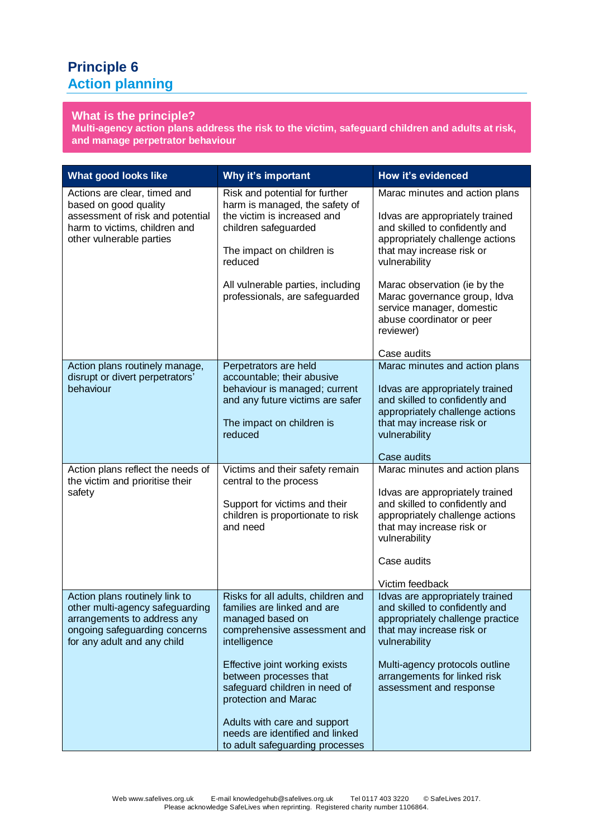## **Principle 6 Action planning**

#### **What is the principle?**

**Multi-agency action plans address the risk to the victim, safeguard children and adults at risk, and manage perpetrator behaviour**

| What good looks like                                                                                                                                             | Why it's important                                                                                                                                                                                                                                                                                                                                               | How it's evidenced                                                                                                                                                                                                                                                                                                          |
|------------------------------------------------------------------------------------------------------------------------------------------------------------------|------------------------------------------------------------------------------------------------------------------------------------------------------------------------------------------------------------------------------------------------------------------------------------------------------------------------------------------------------------------|-----------------------------------------------------------------------------------------------------------------------------------------------------------------------------------------------------------------------------------------------------------------------------------------------------------------------------|
| Actions are clear, timed and<br>based on good quality<br>assessment of risk and potential<br>harm to victims, children and<br>other vulnerable parties           | Risk and potential for further<br>harm is managed, the safety of<br>the victim is increased and<br>children safeguarded<br>The impact on children is<br>reduced<br>All vulnerable parties, including<br>professionals, are safeguarded                                                                                                                           | Marac minutes and action plans<br>Idvas are appropriately trained<br>and skilled to confidently and<br>appropriately challenge actions<br>that may increase risk or<br>vulnerability<br>Marac observation (ie by the<br>Marac governance group, Idva<br>service manager, domestic<br>abuse coordinator or peer<br>reviewer) |
| Action plans routinely manage,<br>disrupt or divert perpetrators'<br>behaviour                                                                                   | Perpetrators are held<br>accountable; their abusive<br>behaviour is managed; current<br>and any future victims are safer<br>The impact on children is<br>reduced                                                                                                                                                                                                 | Case audits<br>Marac minutes and action plans<br>Idvas are appropriately trained<br>and skilled to confidently and<br>appropriately challenge actions<br>that may increase risk or<br>vulnerability                                                                                                                         |
| Action plans reflect the needs of<br>the victim and prioritise their<br>safety                                                                                   | Victims and their safety remain<br>central to the process<br>Support for victims and their<br>children is proportionate to risk<br>and need                                                                                                                                                                                                                      | Case audits<br>Marac minutes and action plans<br>Idvas are appropriately trained<br>and skilled to confidently and<br>appropriately challenge actions<br>that may increase risk or<br>vulnerability<br>Case audits<br>Victim feedback                                                                                       |
| Action plans routinely link to<br>other multi-agency safeguarding<br>arrangements to address any<br>ongoing safeguarding concerns<br>for any adult and any child | Risks for all adults, children and<br>families are linked and are<br>managed based on<br>comprehensive assessment and<br>intelligence<br>Effective joint working exists<br>between processes that<br>safeguard children in need of<br>protection and Marac<br>Adults with care and support<br>needs are identified and linked<br>to adult safeguarding processes | Idvas are appropriately trained<br>and skilled to confidently and<br>appropriately challenge practice<br>that may increase risk or<br>vulnerability<br>Multi-agency protocols outline<br>arrangements for linked risk<br>assessment and response                                                                            |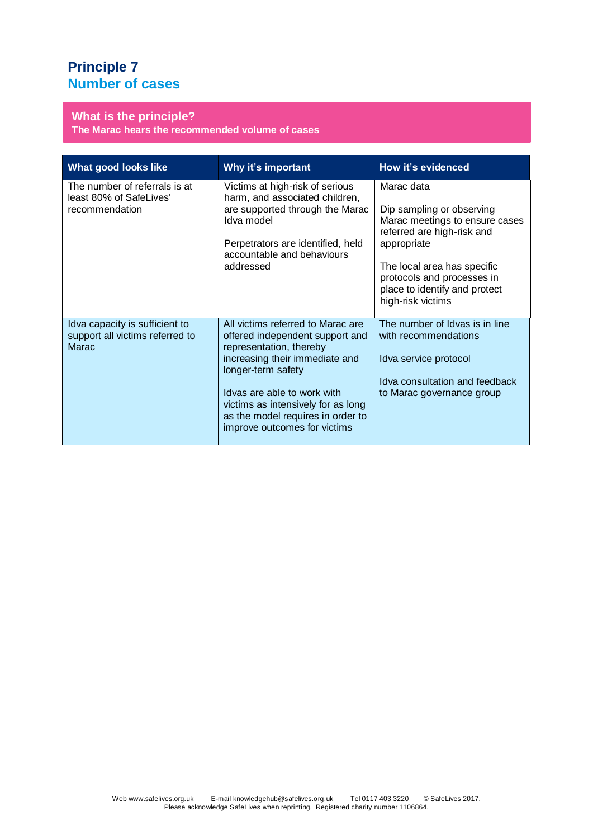## **Principle 7 Number of cases**

## **What is the principle?**

**The Marac hears the recommended volume of cases**

| <b>What good looks like</b>                                                | Why it's important                                                                                                                                                                                                                                                                                | How it's evidenced                                                                                                                                                                                                                        |
|----------------------------------------------------------------------------|---------------------------------------------------------------------------------------------------------------------------------------------------------------------------------------------------------------------------------------------------------------------------------------------------|-------------------------------------------------------------------------------------------------------------------------------------------------------------------------------------------------------------------------------------------|
| The number of referrals is at<br>least 80% of SafeLives'<br>recommendation | Victims at high-risk of serious<br>harm, and associated children,<br>are supported through the Marac<br>Idva model<br>Perpetrators are identified, held<br>accountable and behaviours<br>addressed                                                                                                | Marac data<br>Dip sampling or observing<br>Marac meetings to ensure cases<br>referred are high-risk and<br>appropriate<br>The local area has specific<br>protocols and processes in<br>place to identify and protect<br>high-risk victims |
| Idva capacity is sufficient to<br>support all victims referred to<br>Marac | All victims referred to Marac are<br>offered independent support and<br>representation, thereby<br>increasing their immediate and<br>longer-term safety<br>Idvas are able to work with<br>victims as intensively for as long<br>as the model requires in order to<br>improve outcomes for victims | The number of Idvas is in line<br>with recommendations<br>Idva service protocol<br>Idva consultation and feedback<br>to Marac governance group                                                                                            |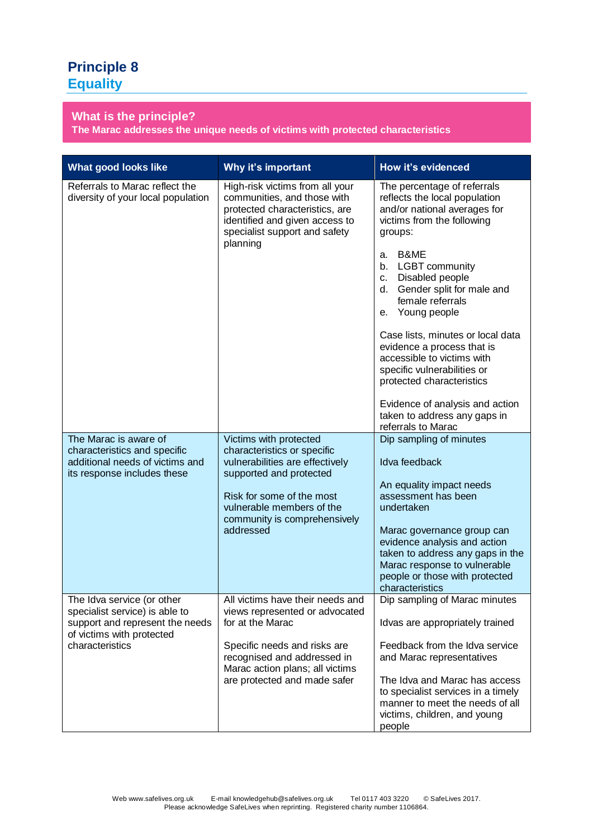## **Principle 8 Equality**

## **What is the principle?**

**The Marac addresses the unique needs of victims with protected characteristics**

| <b>What good looks like</b>                                                                                                                     | Why it's important                                                                                                                                                                                                         | <b>How it's evidenced</b>                                                                                                                                                                                                                                                                                                                                                                                                                                                                                                                      |
|-------------------------------------------------------------------------------------------------------------------------------------------------|----------------------------------------------------------------------------------------------------------------------------------------------------------------------------------------------------------------------------|------------------------------------------------------------------------------------------------------------------------------------------------------------------------------------------------------------------------------------------------------------------------------------------------------------------------------------------------------------------------------------------------------------------------------------------------------------------------------------------------------------------------------------------------|
| Referrals to Marac reflect the<br>diversity of your local population                                                                            | High-risk victims from all your<br>communities, and those with<br>protected characteristics, are<br>identified and given access to<br>specialist support and safety<br>planning                                            | The percentage of referrals<br>reflects the local population<br>and/or national averages for<br>victims from the following<br>groups:<br>B&ME<br>a.<br><b>LGBT</b> community<br>b.<br>Disabled people<br>C.<br>Gender split for male and<br>d.<br>female referrals<br>Young people<br>е.<br>Case lists, minutes or local data<br>evidence a process that is<br>accessible to victims with<br>specific vulnerabilities or<br>protected characteristics<br>Evidence of analysis and action<br>taken to address any gaps in<br>referrals to Marac |
| The Marac is aware of<br>characteristics and specific<br>additional needs of victims and<br>its response includes these                         | Victims with protected<br>characteristics or specific<br>vulnerabilities are effectively<br>supported and protected<br>Risk for some of the most<br>vulnerable members of the<br>community is comprehensively<br>addressed | Dip sampling of minutes<br>Idva feedback<br>An equality impact needs<br>assessment has been<br>undertaken<br>Marac governance group can<br>evidence analysis and action<br>taken to address any gaps in the<br>Marac response to vulnerable<br>people or those with protected<br>characteristics                                                                                                                                                                                                                                               |
| The Idva service (or other<br>specialist service) is able to<br>support and represent the needs<br>of victims with protected<br>characteristics | All victims have their needs and<br>views represented or advocated<br>for at the Marac<br>Specific needs and risks are<br>recognised and addressed in<br>Marac action plans; all victims<br>are protected and made safer   | Dip sampling of Marac minutes<br>Idvas are appropriately trained<br>Feedback from the Idva service<br>and Marac representatives<br>The Idva and Marac has access<br>to specialist services in a timely<br>manner to meet the needs of all<br>victims, children, and young<br>people                                                                                                                                                                                                                                                            |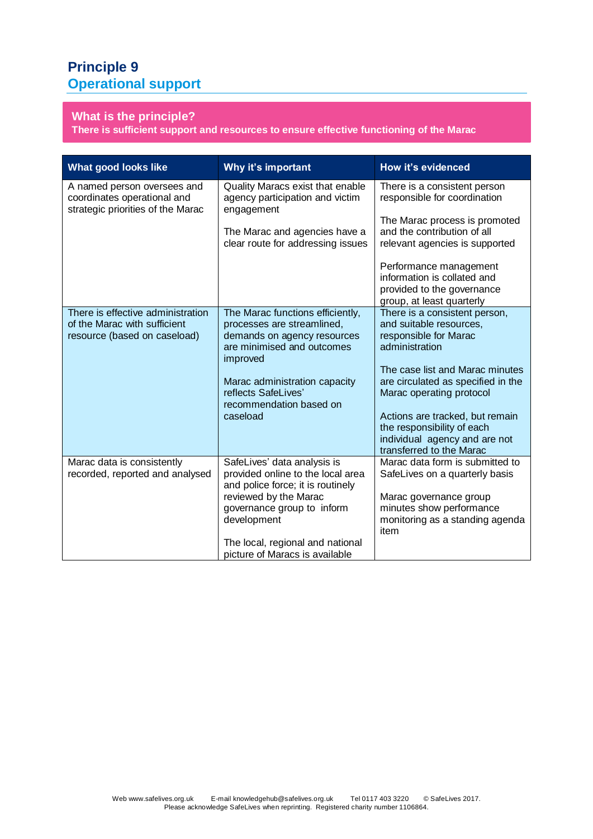## **Principle 9 Operational support**

## **What is the principle?**

**There is sufficient support and resources to ensure effective functioning of the Marac**

| <b>What good looks like</b>                                                                       | Why it's important                                                                                                                                                          | How it's evidenced                                                                                                                                         |
|---------------------------------------------------------------------------------------------------|-----------------------------------------------------------------------------------------------------------------------------------------------------------------------------|------------------------------------------------------------------------------------------------------------------------------------------------------------|
| A named person oversees and<br>coordinates operational and<br>strategic priorities of the Marac   | Quality Maracs exist that enable<br>agency participation and victim<br>engagement                                                                                           | There is a consistent person<br>responsible for coordination                                                                                               |
|                                                                                                   | The Marac and agencies have a<br>clear route for addressing issues                                                                                                          | The Marac process is promoted<br>and the contribution of all<br>relevant agencies is supported                                                             |
|                                                                                                   |                                                                                                                                                                             | Performance management<br>information is collated and<br>provided to the governance<br>group, at least quarterly                                           |
| There is effective administration<br>of the Marac with sufficient<br>resource (based on caseload) | The Marac functions efficiently,<br>processes are streamlined,<br>demands on agency resources<br>are minimised and outcomes<br>improved                                     | There is a consistent person,<br>and suitable resources,<br>responsible for Marac<br>administration                                                        |
|                                                                                                   | Marac administration capacity<br>reflects SafeLives'<br>recommendation based on                                                                                             | The case list and Marac minutes<br>are circulated as specified in the<br>Marac operating protocol                                                          |
|                                                                                                   | caseload                                                                                                                                                                    | Actions are tracked, but remain<br>the responsibility of each<br>individual agency and are not<br>transferred to the Marac                                 |
| Marac data is consistently<br>recorded, reported and analysed                                     | SafeLives' data analysis is<br>provided online to the local area<br>and police force; it is routinely<br>reviewed by the Marac<br>governance group to inform<br>development | Marac data form is submitted to<br>SafeLives on a quarterly basis<br>Marac governance group<br>minutes show performance<br>monitoring as a standing agenda |
|                                                                                                   | The local, regional and national<br>picture of Maracs is available                                                                                                          | item                                                                                                                                                       |